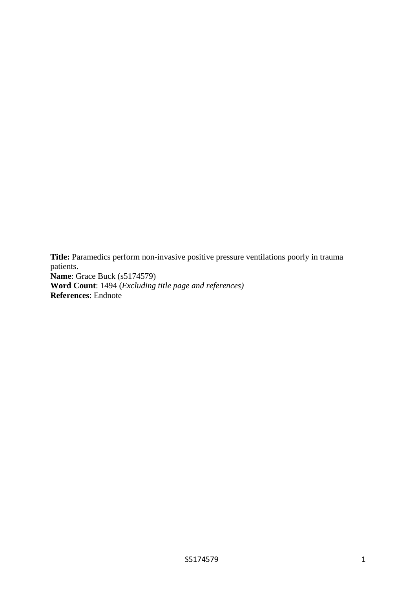**Title:** Paramedics perform non-invasive positive pressure ventilations poorly in trauma patients. **Name**: Grace Buck (s5174579) **Word Count**: 1494 (*Excluding title page and references)* **References**: Endnote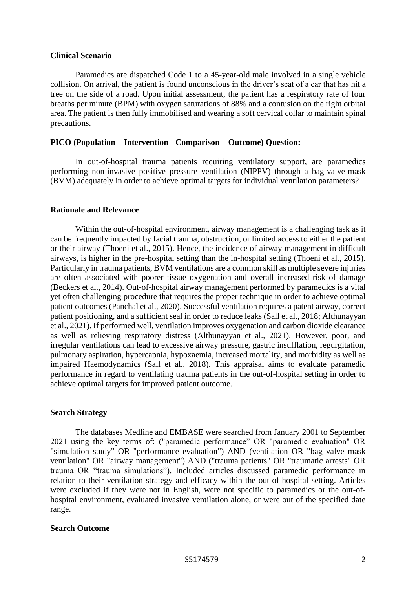### **Clinical Scenario**

Paramedics are dispatched Code 1 to a 45-year-old male involved in a single vehicle collision. On arrival, the patient is found unconscious in the driver's seat of a car that has hit a tree on the side of a road. Upon initial assessment, the patient has a respiratory rate of four breaths per minute (BPM) with oxygen saturations of 88% and a contusion on the right orbital area. The patient is then fully immobilised and wearing a soft cervical collar to maintain spinal precautions.

# **PICO (Population – Intervention - Comparison – Outcome) Question:**

In out-of-hospital trauma patients requiring ventilatory support, are paramedics performing non-invasive positive pressure ventilation (NIPPV) through a bag-valve-mask (BVM) adequately in order to achieve optimal targets for individual ventilation parameters?

## **Rationale and Relevance**

Within the out-of-hospital environment, airway management is a challenging task as it can be frequently impacted by facial trauma, obstruction, or limited access to either the patient or their airway (Thoeni et al., 2015). Hence, the incidence of airway management in difficult airways, is higher in the pre-hospital setting than the in-hospital setting (Thoeni et al., 2015). Particularly in trauma patients, BVM ventilations are a common skill as multiple severe injuries are often associated with poorer tissue oxygenation and overall increased risk of damage (Beckers et al., 2014). Out-of-hospital airway management performed by paramedics is a vital yet often challenging procedure that requires the proper technique in order to achieve optimal patient outcomes (Panchal et al., 2020). Successful ventilation requires a patent airway, correct patient positioning, and a sufficient seal in order to reduce leaks (Sall et al., 2018; Althunayyan et al., 2021). If performed well, ventilation improves oxygenation and carbon dioxide clearance as well as relieving respiratory distress (Althunayyan et al., 2021). However, poor, and irregular ventilations can lead to excessive airway pressure, gastric insufflation, regurgitation, pulmonary aspiration, hypercapnia, hypoxaemia, increased mortality, and morbidity as well as impaired Haemodynamics (Sall et al., 2018). This appraisal aims to evaluate paramedic performance in regard to ventilating trauma patients in the out-of-hospital setting in order to achieve optimal targets for improved patient outcome.

# **Search Strategy**

The databases Medline and EMBASE were searched from January 2001 to September 2021 using the key terms of: ("paramedic performance" OR "paramedic evaluation" OR "simulation study" OR "performance evaluation") AND (ventilation OR "bag valve mask ventilation" OR "airway management") AND ("trauma patients" OR "traumatic arrests" OR trauma OR "trauma simulations"). Included articles discussed paramedic performance in relation to their ventilation strategy and efficacy within the out-of-hospital setting. Articles were excluded if they were not in English, were not specific to paramedics or the out-ofhospital environment, evaluated invasive ventilation alone, or were out of the specified date range.

# **Search Outcome**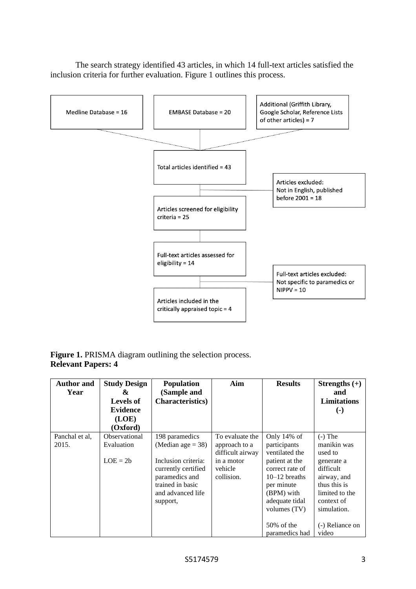

The search strategy identified 43 articles, in which 14 full-text articles satisfied the inclusion criteria for further evaluation. Figure 1 outlines this process.

# Figure 1. PRISMA diagram outlining the selection process. **Relevant Papers: 4**

| <b>Author and</b><br>Year | <b>Study Design</b><br>&<br>Levels of<br><b>Evidence</b><br>(LOE)<br>(Oxford) | <b>Population</b><br>(Sample and<br><b>Characteristics</b> )                                                                                               | Aim                                                                                         | <b>Results</b>                                                                                                                                                                                           | Strengths $(+)$<br>and<br><b>Limitations</b><br>$\left( \cdot \right)$                                                                                                   |
|---------------------------|-------------------------------------------------------------------------------|------------------------------------------------------------------------------------------------------------------------------------------------------------|---------------------------------------------------------------------------------------------|----------------------------------------------------------------------------------------------------------------------------------------------------------------------------------------------------------|--------------------------------------------------------------------------------------------------------------------------------------------------------------------------|
| Panchal et al,<br>2015.   | Observational<br>Evaluation<br>$LOE = 2b$                                     | 198 paramedics<br>(Median age $=$ 38)<br>Inclusion criteria:<br>currently certified<br>paramedics and<br>trained in basic<br>and advanced life<br>support, | To evaluate the<br>approach to a<br>difficult airway<br>in a motor<br>vehicle<br>collision. | Only 14% of<br>participants<br>ventilated the<br>patient at the<br>correct rate of<br>$10-12$ breaths<br>per minute<br>(BPM) with<br>adequate tidal<br>volumes $(TV)$<br>$50\%$ of the<br>paramedics had | $(-)$ The<br>manikin was<br>used to<br>generate a<br>difficult<br>airway, and<br>thus this is<br>limited to the<br>context of<br>simulation.<br>(-) Reliance on<br>video |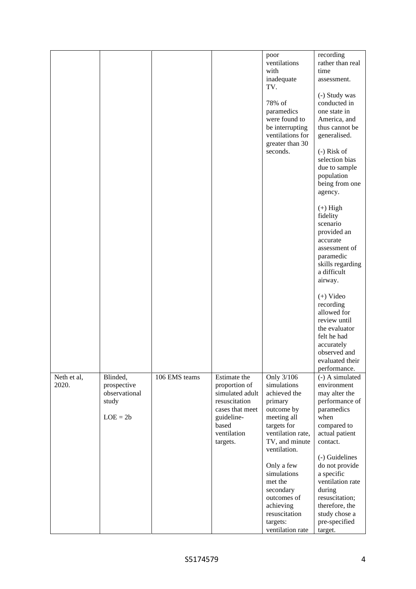|             |               |               |                 | poor              | recording         |
|-------------|---------------|---------------|-----------------|-------------------|-------------------|
|             |               |               |                 | ventilations      | rather than real  |
|             |               |               |                 | with              | time              |
|             |               |               |                 | inadequate        | assessment.       |
|             |               |               |                 | TV.               |                   |
|             |               |               |                 |                   |                   |
|             |               |               |                 |                   | (-) Study was     |
|             |               |               |                 | 78% of            | conducted in      |
|             |               |               |                 | paramedics        | one state in      |
|             |               |               |                 | were found to     | America, and      |
|             |               |               |                 | be interrupting   | thus cannot be    |
|             |               |               |                 | ventilations for  | generalised.      |
|             |               |               |                 | greater than 30   |                   |
|             |               |               |                 | seconds.          | $(-)$ Risk of     |
|             |               |               |                 |                   | selection bias    |
|             |               |               |                 |                   | due to sample     |
|             |               |               |                 |                   | population        |
|             |               |               |                 |                   | being from one    |
|             |               |               |                 |                   |                   |
|             |               |               |                 |                   | agency.           |
|             |               |               |                 |                   |                   |
|             |               |               |                 |                   | $(+)$ High        |
|             |               |               |                 |                   | fidelity          |
|             |               |               |                 |                   | scenario          |
|             |               |               |                 |                   | provided an       |
|             |               |               |                 |                   | accurate          |
|             |               |               |                 |                   | assessment of     |
|             |               |               |                 |                   | paramedic         |
|             |               |               |                 |                   | skills regarding  |
|             |               |               |                 |                   | a difficult       |
|             |               |               |                 |                   | airway.           |
|             |               |               |                 |                   |                   |
|             |               |               |                 |                   | $(+)$ Video       |
|             |               |               |                 |                   | recording         |
|             |               |               |                 |                   | allowed for       |
|             |               |               |                 |                   | review until      |
|             |               |               |                 |                   | the evaluator     |
|             |               |               |                 |                   | felt he had       |
|             |               |               |                 |                   | accurately        |
|             |               |               |                 |                   | observed and      |
|             |               |               |                 |                   |                   |
|             |               |               |                 |                   | evaluated their   |
|             |               |               |                 |                   | performance.      |
| Neth et al, | Blinded,      | 106 EMS teams | Estimate the    | Only 3/106        | $(-)$ A simulated |
| 2020.       | prospective   |               | proportion of   | simulations       | environment       |
|             | observational |               | simulated adult | achieved the      | may alter the     |
|             | study         |               | resuscitation   | primary           | performance of    |
|             |               |               | cases that meet | outcome by        | paramedics        |
|             | $LOE = 2b$    |               | guideline-      | meeting all       | when              |
|             |               |               | based           | targets for       | compared to       |
|             |               |               | ventilation     | ventilation rate, | actual patient    |
|             |               |               | targets.        | TV, and minute    | contact.          |
|             |               |               |                 | ventilation.      |                   |
|             |               |               |                 |                   | (-) Guidelines    |
|             |               |               |                 | Only a few        | do not provide    |
|             |               |               |                 | simulations       | a specific        |
|             |               |               |                 | met the           | ventilation rate  |
|             |               |               |                 | secondary         | during            |
|             |               |               |                 | outcomes of       | resuscitation;    |
|             |               |               |                 | achieving         | therefore, the    |
|             |               |               |                 | resuscitation     | study chose a     |
|             |               |               |                 | targets:          | pre-specified     |
|             |               |               |                 | ventilation rate  |                   |
|             |               |               |                 |                   | target.           |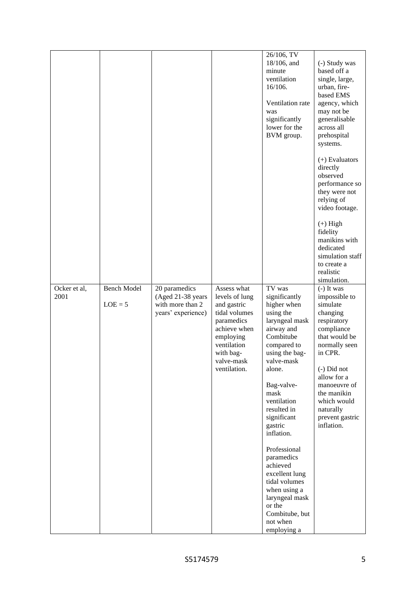|              |                    |                                                             |                                                                                                                                                     | 26/106, TV<br>18/106, and<br>minute<br>ventilation<br>16/106.<br>Ventilation rate<br>was<br>significantly<br>lower for the<br>BVM group.                                                                                                                                                                                                                                                                                   | (-) Study was<br>based off a<br>single, large,<br>urban, fire-<br>based EMS<br>agency, which<br>may not be<br>generalisable<br>across all<br>prehospital<br>systems.<br>$(+)$ Evaluators<br>directly<br>observed<br>performance so<br>they were not<br>relying of<br>video footage. |
|--------------|--------------------|-------------------------------------------------------------|-----------------------------------------------------------------------------------------------------------------------------------------------------|----------------------------------------------------------------------------------------------------------------------------------------------------------------------------------------------------------------------------------------------------------------------------------------------------------------------------------------------------------------------------------------------------------------------------|-------------------------------------------------------------------------------------------------------------------------------------------------------------------------------------------------------------------------------------------------------------------------------------|
| Ocker et al, | <b>Bench Model</b> | 20 paramedics                                               | Assess what                                                                                                                                         | TV was                                                                                                                                                                                                                                                                                                                                                                                                                     | $(+)$ High<br>fidelity<br>manikins with<br>dedicated<br>simulation staff<br>to create a<br>realistic<br>simulation.<br>$(-)$ It was                                                                                                                                                 |
| 2001         | $LOE = 5$          | (Aged 21-38 years<br>with more than 2<br>years' experience) | levels of lung<br>and gastric<br>tidal volumes<br>paramedics<br>achieve when<br>employing<br>ventilation<br>with bag-<br>valve-mask<br>ventilation. | significantly<br>higher when<br>using the<br>laryngeal mask<br>airway and<br>Combitube<br>compared to<br>using the bag-<br>valve-mask<br>alone.<br>Bag-valve-<br>$_{\rm mask}$<br>ventilation<br>resulted in<br>significant<br>gastric<br>inflation.<br>Professional<br>paramedics<br>achieved<br>excellent lung<br>tidal volumes<br>when using a<br>laryngeal mask<br>or the<br>Combitube, but<br>not when<br>employing a | impossible to<br>simulate<br>changing<br>respiratory<br>compliance<br>that would be<br>normally seen<br>in CPR.<br>(-) Did not<br>allow for a<br>manoeuvre of<br>the manikin<br>which would<br>naturally<br>prevent gastric<br>inflation.                                           |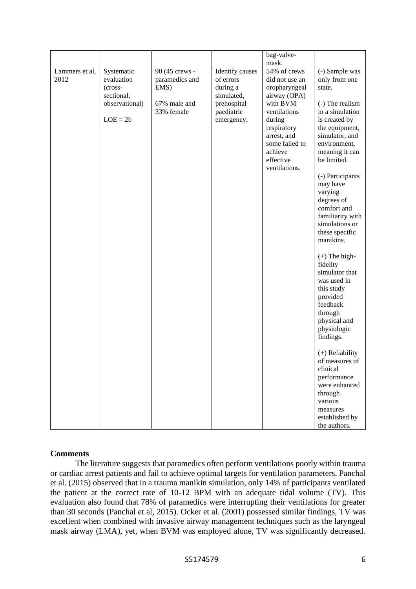|                        |                                                                                   |                                                                        |                                                                                                   | bag-valve-                                                                                                                                                                                     |                                                                                                                                                                                                                                                                                                                                                                                                                                                                                                                                                                   |
|------------------------|-----------------------------------------------------------------------------------|------------------------------------------------------------------------|---------------------------------------------------------------------------------------------------|------------------------------------------------------------------------------------------------------------------------------------------------------------------------------------------------|-------------------------------------------------------------------------------------------------------------------------------------------------------------------------------------------------------------------------------------------------------------------------------------------------------------------------------------------------------------------------------------------------------------------------------------------------------------------------------------------------------------------------------------------------------------------|
|                        |                                                                                   |                                                                        |                                                                                                   | mask.                                                                                                                                                                                          |                                                                                                                                                                                                                                                                                                                                                                                                                                                                                                                                                                   |
| Lammers et al,<br>2012 | Systematic<br>evaluation<br>(cross-<br>sectional,<br>observational)<br>$LOE = 2b$ | 90 (45 crews -<br>paramedics and<br>EMS)<br>67% male and<br>33% female | Identify causes<br>of errors<br>during a<br>simulated,<br>prehospital<br>paediatric<br>emergency. | 54% of crews<br>did not use an<br>oropharyngeal<br>airway (OPA)<br>with BVM<br>ventilations<br>during<br>respiratory<br>arrest, and<br>some failed to<br>achieve<br>effective<br>ventilations. | (-) Sample was<br>only from one<br>state.<br>(-) The realism<br>in a simulation<br>is created by<br>the equipment,<br>simulator, and<br>environment,<br>meaning it can<br>be limited.<br>(-) Participants<br>may have<br>varying<br>degrees of<br>comfort and<br>familiarity with<br>simulations or<br>these specific<br>manikins.<br>$(+)$ The high-<br>fidelity<br>simulator that<br>was used in<br>this study<br>provided<br>feedback<br>through<br>physical and<br>physiologic<br>findings.<br>$(+)$ Reliability<br>of measures of<br>clinical<br>performance |
|                        |                                                                                   |                                                                        |                                                                                                   |                                                                                                                                                                                                | were enhanced<br>through<br>various<br>measures                                                                                                                                                                                                                                                                                                                                                                                                                                                                                                                   |
|                        |                                                                                   |                                                                        |                                                                                                   |                                                                                                                                                                                                | established by<br>the authors.                                                                                                                                                                                                                                                                                                                                                                                                                                                                                                                                    |

# **Comments**

The literature suggests that paramedics often perform ventilations poorly within trauma or cardiac arrest patients and fail to achieve optimal targets for ventilation parameters. Panchal et al. (2015) observed that in a trauma manikin simulation, only 14% of participants ventilated the patient at the correct rate of 10-12 BPM with an adequate tidal volume (TV). This evaluation also found that 78% of paramedics were interrupting their ventilations for greater than 30 seconds (Panchal et al, 2015). Ocker et al. (2001) possessed similar findings, TV was excellent when combined with invasive airway management techniques such as the laryngeal mask airway (LMA), yet, when BVM was employed alone, TV was significantly decreased.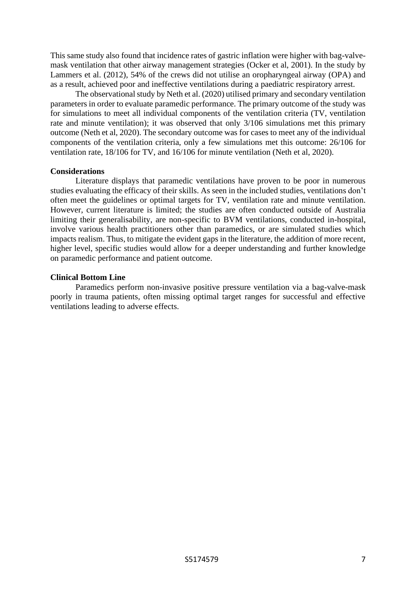This same study also found that incidence rates of gastric inflation were higher with bag-valvemask ventilation that other airway management strategies (Ocker et al, 2001). In the study by Lammers et al. (2012), 54% of the crews did not utilise an oropharyngeal airway (OPA) and as a result, achieved poor and ineffective ventilations during a paediatric respiratory arrest.

The observational study by Neth et al. (2020) utilised primary and secondary ventilation parameters in order to evaluate paramedic performance. The primary outcome of the study was for simulations to meet all individual components of the ventilation criteria (TV, ventilation rate and minute ventilation); it was observed that only 3/106 simulations met this primary outcome (Neth et al, 2020). The secondary outcome was for cases to meet any of the individual components of the ventilation criteria, only a few simulations met this outcome: 26/106 for ventilation rate, 18/106 for TV, and 16/106 for minute ventilation (Neth et al, 2020).

### **Considerations**

Literature displays that paramedic ventilations have proven to be poor in numerous studies evaluating the efficacy of their skills. As seen in the included studies, ventilations don't often meet the guidelines or optimal targets for TV, ventilation rate and minute ventilation. However, current literature is limited; the studies are often conducted outside of Australia limiting their generalisability, are non-specific to BVM ventilations, conducted in-hospital, involve various health practitioners other than paramedics, or are simulated studies which impacts realism. Thus, to mitigate the evident gaps in the literature, the addition of more recent, higher level, specific studies would allow for a deeper understanding and further knowledge on paramedic performance and patient outcome.

### **Clinical Bottom Line**

Paramedics perform non-invasive positive pressure ventilation via a bag-valve-mask poorly in trauma patients, often missing optimal target ranges for successful and effective ventilations leading to adverse effects.